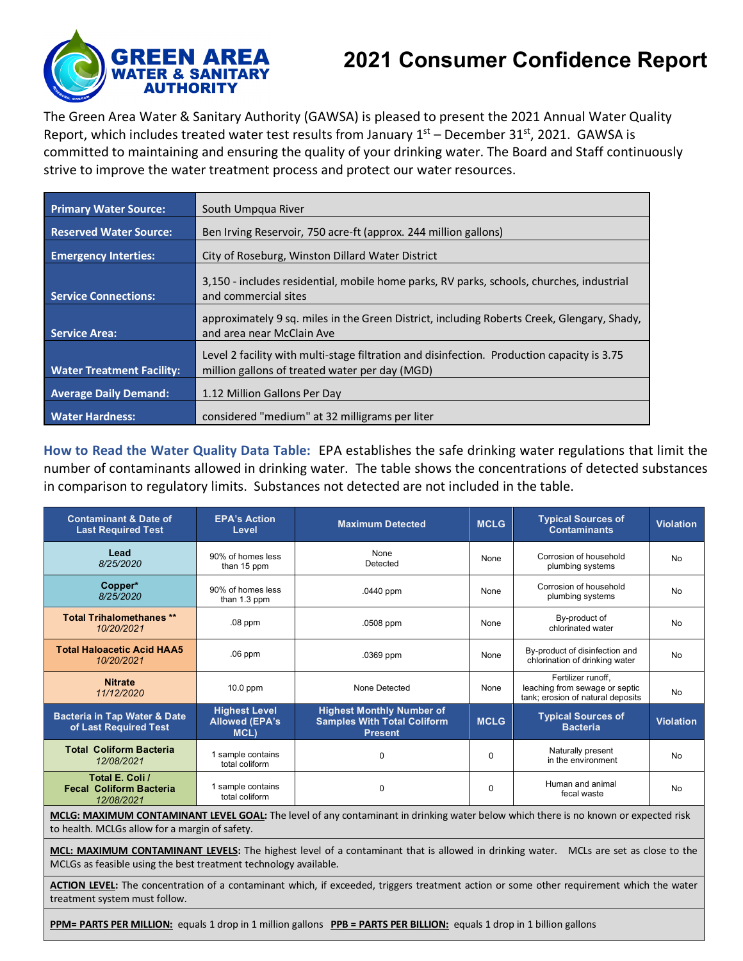

## **2021 Consumer Confidence Report**

The Green Area Water & Sanitary Authority (GAWSA) is pleased to present the 2021 Annual Water Quality Report, which includes treated water test results from January  $1<sup>st</sup>$  – December 31 $<sup>st</sup>$ , 2021. GAWSA is</sup> committed to maintaining and ensuring the quality of your drinking water. The Board and Staff continuously strive to improve the water treatment process and protect our water resources.

| <b>Primary Water Source:</b>     | South Umpqua River                                                                                                                           |
|----------------------------------|----------------------------------------------------------------------------------------------------------------------------------------------|
| <b>Reserved Water Source:</b>    | Ben Irving Reservoir, 750 acre-ft (approx. 244 million gallons)                                                                              |
| <b>Emergency Interties:</b>      | City of Roseburg, Winston Dillard Water District                                                                                             |
| <b>Service Connections:</b>      | 3,150 - includes residential, mobile home parks, RV parks, schools, churches, industrial<br>and commercial sites                             |
| Service Area:                    | approximately 9 sq. miles in the Green District, including Roberts Creek, Glengary, Shady,<br>and area near McClain Ave                      |
| <b>Water Treatment Facility:</b> | Level 2 facility with multi-stage filtration and disinfection. Production capacity is 3.75<br>million gallons of treated water per day (MGD) |
| <b>Average Daily Demand:</b>     | 1.12 Million Gallons Per Day                                                                                                                 |
| <b>Water Hardness:</b>           | considered "medium" at 32 milligrams per liter                                                                                               |

**How to Read the Water Quality Data Table:** EPA establishes the safe drinking water regulations that limit the number of contaminants allowed in drinking water. The table shows the concentrations of detected substances in comparison to regulatory limits. Substances not detected are not included in the table.

| <b>Contaminant &amp; Date of</b><br><b>Last Required Test</b>    | <b>EPA's Action</b><br>Level                          | <b>Maximum Detected</b>                                                                  | <b>MCLG</b> | <b>Typical Sources of</b><br><b>Contaminants</b>                                          | <b>Violation</b> |
|------------------------------------------------------------------|-------------------------------------------------------|------------------------------------------------------------------------------------------|-------------|-------------------------------------------------------------------------------------------|------------------|
| Lead<br>8/25/2020                                                | 90% of homes less<br>than 15 ppm                      | None<br>Detected                                                                         | None        | Corrosion of household<br>plumbing systems                                                | <b>No</b>        |
| Copper*<br>8/25/2020                                             | 90% of homes less<br>than 1.3 ppm                     | .0440 ppm                                                                                | None        | Corrosion of household<br>plumbing systems                                                | <b>No</b>        |
| <b>Total Trihalomethanes **</b><br>10/20/2021                    | $.08$ ppm                                             | .0508 ppm                                                                                | None        | By-product of<br>chlorinated water                                                        | <b>No</b>        |
| <b>Total Haloacetic Acid HAA5</b><br>10/20/2021                  | $.06$ ppm                                             | .0369 ppm                                                                                | None        | By-product of disinfection and<br>chlorination of drinking water                          | <b>No</b>        |
| <b>Nitrate</b><br>11/12/2020                                     | $10.0$ ppm                                            | None Detected                                                                            | None        | Fertilizer runoff,<br>leaching from sewage or septic<br>tank; erosion of natural deposits | No               |
| <b>Bacteria in Tap Water &amp; Date</b><br>of Last Required Test | <b>Highest Level</b><br><b>Allowed (EPA's</b><br>MCL) | <b>Highest Monthly Number of</b><br><b>Samples With Total Coliform</b><br><b>Present</b> | <b>MCLG</b> | <b>Typical Sources of</b><br><b>Bacteria</b>                                              | <b>Violation</b> |
| <b>Total Coliform Bacteria</b><br>12/08/2021                     | 1 sample contains<br>total coliform                   | 0                                                                                        | 0           | Naturally present<br>in the environment                                                   | <b>No</b>        |
| Total E. Coli /<br><b>Fecal Coliform Bacteria</b><br>12/08/2021  | 1 sample contains<br>total coliform                   | 0                                                                                        | 0           | Human and animal<br>fecal waste                                                           | No               |

**MCLG: MAXIMUM CONTAMINANT LEVEL GOAL:** The level of any contaminant in drinking water below which there is no known or expected risk to health. MCLGs allow for a margin of safety.

**MCL: MAXIMUM CONTAMINANT LEVELS:** The highest level of a contaminant that is allowed in drinking water. MCLs are set as close to the MCLGs as feasible using the best treatment technology available.

**ACTION LEVEL:** The concentration of a contaminant which, if exceeded, triggers treatment action or some other requirement which the water treatment system must follow.

**PPM= PARTS PER MILLION:** equals 1 drop in 1 million gallons **PPB = PARTS PER BILLION:** equals 1 drop in 1 billion gallons